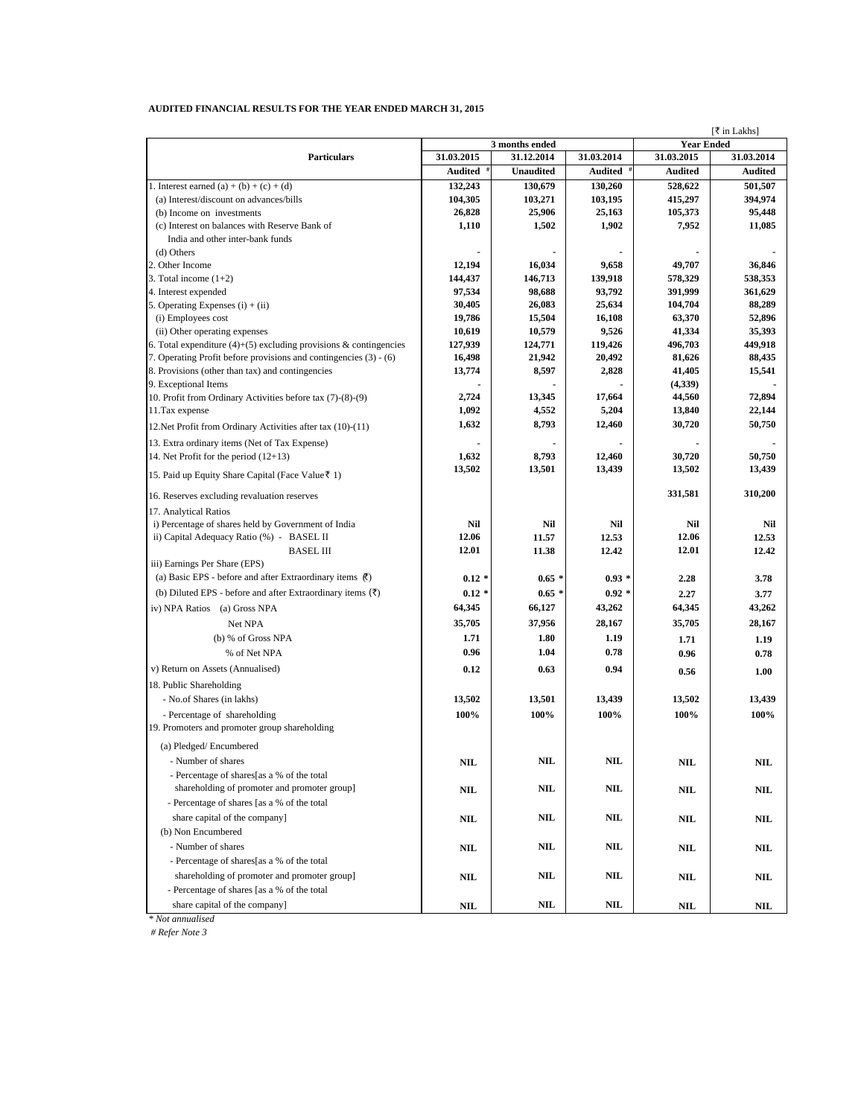| AUDITED FINANCIAL RESULTS FOR THE YEAR ENDED MARCH 31, 2015 |  |
|-------------------------------------------------------------|--|
|-------------------------------------------------------------|--|

| [₹ in Lakhs]                                                          |            |                           |                |                   |                |
|-----------------------------------------------------------------------|------------|---------------------------|----------------|-------------------|----------------|
|                                                                       |            | 3 months ended            |                | <b>Year Ended</b> |                |
| <b>Particulars</b>                                                    | 31.03.2015 | 31.12.2014                | 31.03.2014     | 31.03.2015        | 31.03.2014     |
|                                                                       | Audited    | <b>Unaudited</b>          | <b>Audited</b> | Audited           | <b>Audited</b> |
| 1. Interest earned (a) + (b) + (c) + (d)                              | 132,243    | 130,679                   | 130,260        | 528,622           | 501,507        |
| (a) Interest/discount on advances/bills                               | 104,305    | 103,271                   | 103,195        | 415,297           | 394,974        |
| (b) Income on investments                                             | 26,828     | 25,906                    | 25,163         | 105,373           | 95,448         |
| (c) Interest on balances with Reserve Bank of                         | 1,110      | 1,502                     | 1,902          | 7,952             | 11,085         |
| India and other inter-bank funds                                      |            |                           |                |                   |                |
| (d) Others                                                            |            |                           |                |                   |                |
| 2. Other Income                                                       | 12,194     | 16,034                    | 9,658          | 49,707            | 36,846         |
| 3. Total income $(1+2)$                                               | 144,437    | 146,713                   | 139,918        | 578,329           | 538,353        |
| 4. Interest expended                                                  | 97,534     | 98,688                    | 93,792         | 391,999           | 361,629        |
| 5. Operating Expenses $(i) + (ii)$                                    | 30,405     | 26,083                    | 25,634         | 104,704           | 88,289         |
| (i) Employees cost                                                    | 19,786     | 15,504                    | 16,108         | 63,370            | 52,896         |
| (ii) Other operating expenses                                         | 10,619     | 10,579                    | 9,526          | 41,334            | 35,393         |
| 6. Total expenditure $(4)+(5)$ excluding provisions & contingencies   | 127,939    | 124,771                   | 119,426        | 496,703           | 449,918        |
| 7. Operating Profit before provisions and contingencies (3) - (6)     | 16,498     | 21,942                    | 20,492         | 81,626            | 88,435         |
| 8. Provisions (other than tax) and contingencies                      | 13,774     | 8,597                     | 2,828          | 41,405            | 15,541         |
| 9. Exceptional Items                                                  |            |                           |                | (4,339)           |                |
| 10. Profit from Ordinary Activities before tax (7)-(8)-(9)            | 2,724      | 13,345                    | 17,664         | 44,560            | 72,894         |
| 11. Tax expense                                                       | 1,092      | 4,552                     | 5,204          | 13,840            | 22,144         |
| 12. Net Profit from Ordinary Activities after tax (10)-(11)           | 1,632      | 8,793                     | 12,460         | 30,720            | 50,750         |
| 13. Extra ordinary items (Net of Tax Expense)                         |            |                           |                |                   |                |
| 14. Net Profit for the period $(12+13)$                               | 1,632      | 8,793                     | 12,460         | 30,720            | 50,750         |
|                                                                       | 13,502     | 13,501                    | 13,439         | 13,502            | 13,439         |
| 15. Paid up Equity Share Capital (Face Value₹1)                       |            |                           |                |                   |                |
| 16. Reserves excluding revaluation reserves                           |            |                           |                | 331,581           | 310,200        |
| 17. Analytical Ratios                                                 |            |                           |                |                   |                |
| i) Percentage of shares held by Government of India                   | Nil        | Nil                       | Nil            | Nil               | Nil            |
| ii) Capital Adequacy Ratio (%) - BASEL II                             | 12.06      | 11.57                     | 12.53          | 12.06             | 12.53          |
| <b>BASEL III</b>                                                      | 12.01      | 11.38                     | 12.42          | 12.01             | 12.42          |
| iii) Earnings Per Share (EPS)                                         |            |                           |                |                   |                |
| (a) Basic EPS - before and after Extraordinary items $\bar{R}$ )      | $0.12*$    | $0.65*$                   | $0.93*$        | 2.28              | 3.78           |
| (b) Diluted EPS - before and after Extraordinary items $(\bar{\tau})$ | $0.12*$    | $0.65*$                   | $0.92*$        |                   |                |
|                                                                       | 64,345     |                           |                | 2.27<br>64,345    | 3.77           |
| iv) NPA Ratios (a) Gross NPA                                          |            | 66,127                    | 43,262         |                   | 43,262         |
| Net NPA                                                               | 35,705     | 37,956                    | 28,167         | 35,705            | 28,167         |
| (b) % of Gross NPA                                                    | 1.71       | 1.80                      | 1.19           | 1.71              | 1.19           |
| % of Net NPA                                                          | 0.96       | 1.04                      | 0.78           | 0.96              | 0.78           |
| v) Return on Assets (Annualised)                                      | 0.12       | 0.63                      | 0.94           | 0.56              | 1.00           |
| 18. Public Shareholding                                               |            |                           |                |                   |                |
| - No.of Shares (in lakhs)                                             | 13,502     | 13,501                    | 13,439         | 13,502            | 13,439         |
|                                                                       |            |                           |                |                   |                |
| - Percentage of shareholding                                          | 100%       | 100%                      | 100%           | 100%              | 100%           |
| 19. Promoters and promoter group shareholding                         |            |                           |                |                   |                |
| (a) Pledged/Encumbered                                                |            |                           |                |                   |                |
| - Number of shares                                                    | NIL        | <b>NIL</b>                | $\mathbf{NIL}$ | <b>NIL</b>        | NIL            |
| - Percentage of shares[as a % of the total                            |            |                           |                |                   |                |
| shareholding of promoter and promoter group]                          | <b>NIL</b> | $\ensuremath{\text{NIL}}$ | NIL            | $\bf NIL$         | NIL            |
| - Percentage of shares [as a % of the total                           |            |                           |                |                   |                |
|                                                                       |            | $\ensuremath{\text{NIL}}$ | $\mathbf{NIL}$ |                   |                |
| share capital of the company]                                         | $\bf NIL$  |                           |                | NIL               | <b>NIL</b>     |
| (b) Non Encumbered                                                    |            |                           |                |                   |                |
| - Number of shares                                                    | NIL        | NIL                       | NIL            | NIL               | NIL            |
| - Percentage of shares[as a % of the total                            |            |                           |                |                   |                |
| shareholding of promoter and promoter group]                          | <b>NIL</b> | NIL                       | NIL            | $\mathbf{NIL}$    | NIL            |
| - Percentage of shares [as a % of the total                           |            |                           |                |                   |                |
| share capital of the company]                                         | <b>NIL</b> | NIL                       | NIL            | $\mathbf{NIL}$    | NIL            |
|                                                                       |            |                           |                |                   |                |

*\* Not annualised*

 *# Refer Note 3*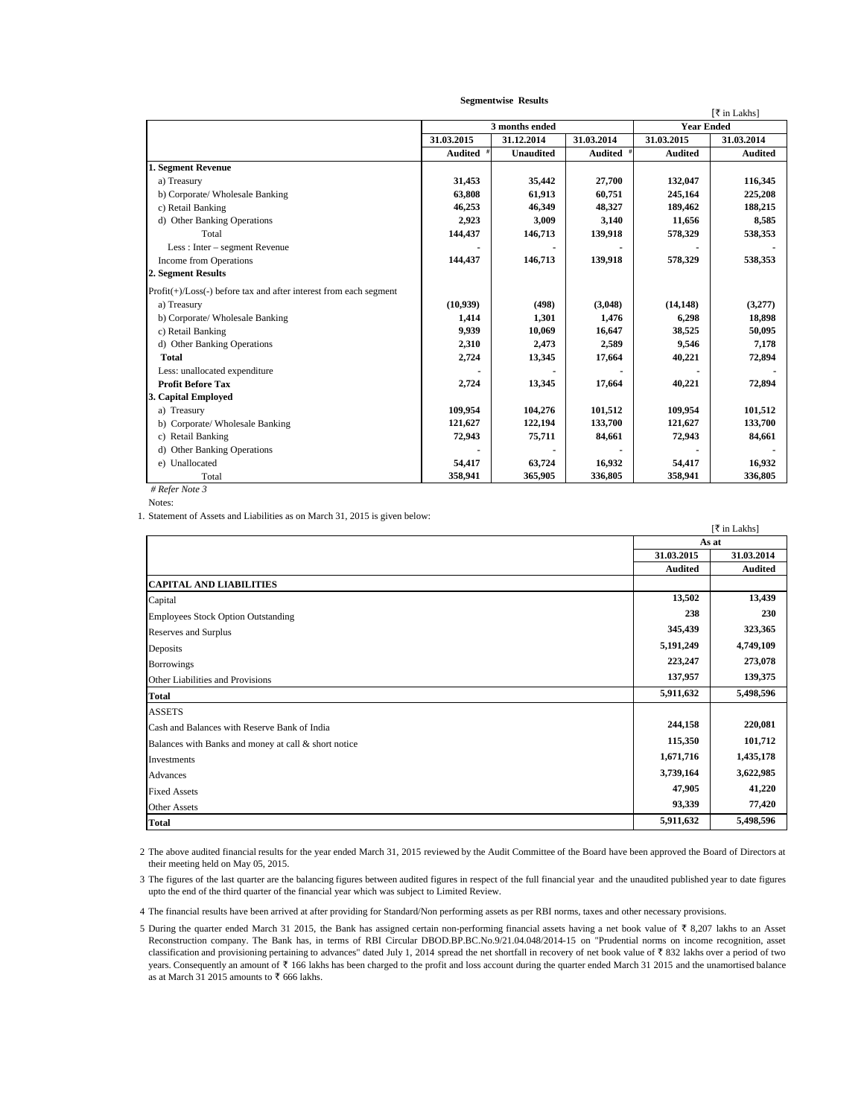|                                                                       |                |                  |                |                   | [₹ in Lakhs]   |
|-----------------------------------------------------------------------|----------------|------------------|----------------|-------------------|----------------|
|                                                                       | 3 months ended |                  |                | <b>Year Ended</b> |                |
|                                                                       | 31.03.2015     | 31.12.2014       | 31.03.2014     | 31.03.2015        | 31.03.2014     |
|                                                                       | Audited        | <b>Unaudited</b> | <b>Audited</b> | <b>Audited</b>    | <b>Audited</b> |
| 1. Segment Revenue                                                    |                |                  |                |                   |                |
| a) Treasury                                                           | 31,453         | 35,442           | 27,700         | 132,047           | 116,345        |
| b) Corporate/ Wholesale Banking                                       | 63,808         | 61,913           | 60,751         | 245,164           | 225,208        |
| c) Retail Banking                                                     | 46,253         | 46,349           | 48,327         | 189,462           | 188,215        |
| d) Other Banking Operations                                           | 2,923          | 3,009            | 3,140          | 11,656            | 8,585          |
| Total                                                                 | 144,437        | 146,713          | 139,918        | 578,329           | 538,353        |
| Less : Inter – segment Revenue                                        |                |                  |                |                   |                |
| Income from Operations                                                | 144,437        | 146,713          | 139,918        | 578,329           | 538,353        |
| 2. Segment Results                                                    |                |                  |                |                   |                |
| $Profit(+) / Loss(-) before tax and after interest from each segment$ |                |                  |                |                   |                |
| a) Treasury                                                           | (10,939)       | (498)            | (3.048)        | (14, 148)         | (3,277)        |
| b) Corporate/ Wholesale Banking                                       | 1,414          | 1,301            | 1,476          | 6,298             | 18,898         |
| c) Retail Banking                                                     | 9,939          | 10,069           | 16,647         | 38,525            | 50,095         |
| d) Other Banking Operations                                           | 2,310          | 2,473            | 2,589          | 9,546             | 7,178          |
| <b>Total</b>                                                          | 2,724          | 13,345           | 17,664         | 40,221            | 72,894         |
| Less: unallocated expenditure                                         |                |                  |                |                   |                |
| <b>Profit Before Tax</b>                                              | 2,724          | 13,345           | 17.664         | 40,221            | 72,894         |
| 3. Capital Employed                                                   |                |                  |                |                   |                |
| a) Treasury                                                           | 109,954        | 104,276          | 101,512        | 109,954           | 101,512        |
| b) Corporate/ Wholesale Banking                                       | 121,627        | 122,194          | 133,700        | 121,627           | 133,700        |
| c) Retail Banking                                                     | 72,943         | 75,711           | 84,661         | 72,943            | 84,661         |
| d) Other Banking Operations                                           |                |                  |                |                   |                |
| e) Unallocated                                                        | 54,417         | 63,724           | 16,932         | 54,417            | 16,932         |
| Total                                                                 | 358,941        | 365,905          | 336,805        | 358,941           | 336,805        |
| # Refer Note 3                                                        |                |                  |                |                   |                |

 **Segmentwise Results**

Notes:

1. Statement of Assets and Liabilities as on March 31, 2015 is given below:

|                                                      |                | [₹ in Lakhs]   |
|------------------------------------------------------|----------------|----------------|
|                                                      | As at          |                |
|                                                      | 31.03.2015     | 31.03.2014     |
|                                                      | <b>Audited</b> | <b>Audited</b> |
| <b>CAPITAL AND LIABILITIES</b>                       |                |                |
| Capital                                              | 13,502         | 13,439         |
| <b>Employees Stock Option Outstanding</b>            | 238            | 230            |
| Reserves and Surplus                                 | 345,439        | 323,365        |
| Deposits                                             | 5,191,249      | 4,749,109      |
| <b>Borrowings</b>                                    | 223,247        | 273,078        |
| Other Liabilities and Provisions                     | 137,957        | 139,375        |
| <b>Total</b>                                         | 5,911,632      | 5,498,596      |
| <b>ASSETS</b>                                        |                |                |
| Cash and Balances with Reserve Bank of India         | 244,158        | 220,081        |
| Balances with Banks and money at call & short notice | 115,350        | 101,712        |
| Investments                                          | 1,671,716      | 1,435,178      |
| Advances                                             | 3,739,164      | 3,622,985      |
| <b>Fixed Assets</b>                                  | 47,905         | 41,220         |
| <b>Other Assets</b>                                  | 93,339         | 77,420         |
| <b>Total</b>                                         | 5,911,632      | 5,498,596      |

2 The above audited financial results for the year ended March 31, 2015 reviewed by the Audit Committee of the Board have been approved the Board of Directors at their meeting held on May 05, 2015.

3 The figures of the last quarter are the balancing figures between audited figures in respect of the full financial year and the unaudited published year to date figures upto the end of the third quarter of the financial year which was subject to Limited Review.

4 The financial results have been arrived at after providing for Standard/Non performing assets as per RBI norms, taxes and other necessary provisions.

5 During the quarter ended March 31 2015, the Bank has assigned certain non-performing financial assets having a net book value of  $\bar{\tau}$  8,207 lakhs to an Asset Reconstruction company. The Bank has, in terms of RBI Circular DBOD.BP.BC.No.9/21.04.048/2014-15 on "Prudential norms on income recognition, asset classification and provisioning pertaining to advances" dated July 1, 2014 spread the net shortfall in recovery of net book value of  $\bar{x}$  832 lakhs over a period of two years. Consequently an amount of  $\bar{\tau}$  166 lakhs has been charged to the profit and loss account during the quarter ended March 31 2015 and the unamortised balance as at March 31 2015 amounts to  $\overline{\mathfrak{c}}$  666 lakhs.